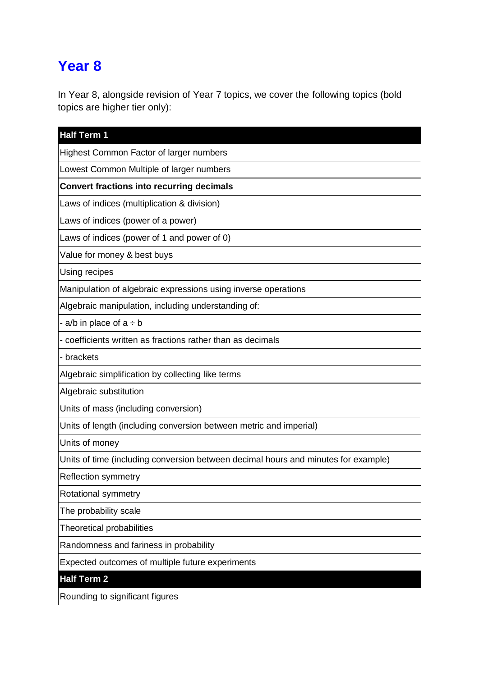## **Year 8**

In Year 8, alongside revision of Year 7 topics, we cover the following topics (bold topics are higher tier only):

| <b>Half Term 1</b>                                                                 |
|------------------------------------------------------------------------------------|
| Highest Common Factor of larger numbers                                            |
| Lowest Common Multiple of larger numbers                                           |
| <b>Convert fractions into recurring decimals</b>                                   |
| Laws of indices (multiplication & division)                                        |
| Laws of indices (power of a power)                                                 |
| Laws of indices (power of 1 and power of 0)                                        |
| Value for money & best buys                                                        |
| Using recipes                                                                      |
| Manipulation of algebraic expressions using inverse operations                     |
| Algebraic manipulation, including understanding of:                                |
| - a/b in place of $a \div b$                                                       |
| - coefficients written as fractions rather than as decimals                        |
| - brackets                                                                         |
| Algebraic simplification by collecting like terms                                  |
| Algebraic substitution                                                             |
| Units of mass (including conversion)                                               |
| Units of length (including conversion between metric and imperial)                 |
| Units of money                                                                     |
| Units of time (including conversion between decimal hours and minutes for example) |
| <b>Reflection symmetry</b>                                                         |
| Rotational symmetry                                                                |
| The probability scale                                                              |
| <b>Theoretical probabilities</b>                                                   |
| Randomness and fariness in probability                                             |
| Expected outcomes of multiple future experiments                                   |
| <b>Half Term 2</b>                                                                 |
| Rounding to significant figures                                                    |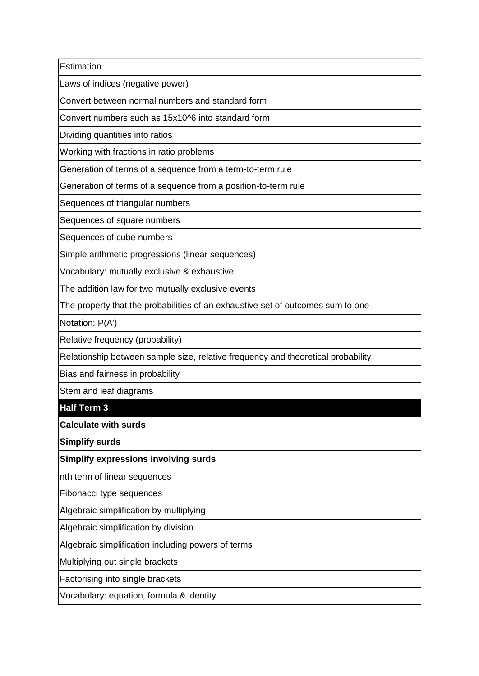**Estimation** 

Laws of indices (negative power)

Convert between normal numbers and standard form

Convert numbers such as 15x10^6 into standard form

Dividing quantities into ratios

Working with fractions in ratio problems

Generation of terms of a sequence from a term-to-term rule

Generation of terms of a sequence from a position-to-term rule

Sequences of triangular numbers

Sequences of square numbers

Sequences of cube numbers

Simple arithmetic progressions (linear sequences)

Vocabulary: mutually exclusive & exhaustive

The addition law for two mutually exclusive events

The property that the probabilities of an exhaustive set of outcomes sum to one

Notation: P(A')

Relative frequency (probability)

Relationship between sample size, relative frequency and theoretical probability

Bias and fairness in probability

Stem and leaf diagrams

**Half Term 3**

**Calculate with surds**

**Simplify surds**

**Simplify expressions involving surds**

nth term of linear sequences

Fibonacci type sequences

Algebraic simplification by multiplying

Algebraic simplification by division

Algebraic simplification including powers of terms

Multiplying out single brackets

Factorising into single brackets

Vocabulary: equation, formula & identity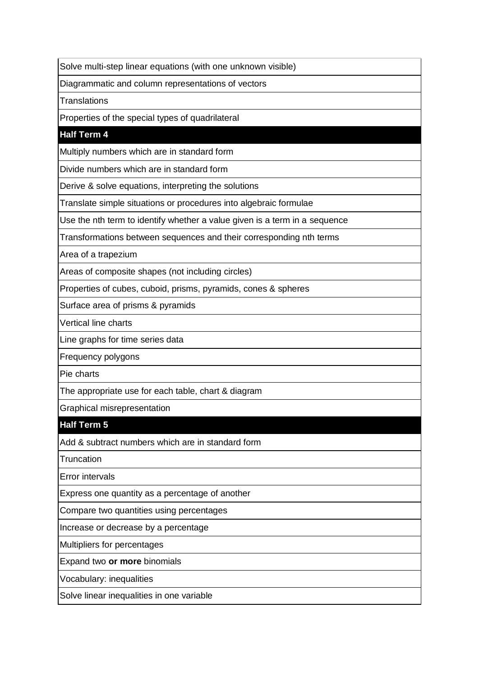Solve multi-step linear equations (with one unknown visible)

Diagrammatic and column representations of vectors

**Translations** 

Properties of the special types of quadrilateral

## **Half Term 4**

Multiply numbers which are in standard form

Divide numbers which are in standard form

Derive & solve equations, interpreting the solutions

Translate simple situations or procedures into algebraic formulae

Use the nth term to identify whether a value given is a term in a sequence

Transformations between sequences and their corresponding nth terms

Area of a trapezium

Areas of composite shapes (not including circles)

Properties of cubes, cuboid, prisms, pyramids, cones & spheres

Surface area of prisms & pyramids

Vertical line charts

Line graphs for time series data

Frequency polygons

Pie charts

The appropriate use for each table, chart & diagram

Graphical misrepresentation

## **Half Term 5**

Add & subtract numbers which are in standard form

**Truncation** 

Error intervals

Express one quantity as a percentage of another

Compare two quantities using percentages

Increase or decrease by a percentage

Multipliers for percentages

Expand two **or more** binomials

Vocabulary: inequalities

Solve linear inequalities in one variable